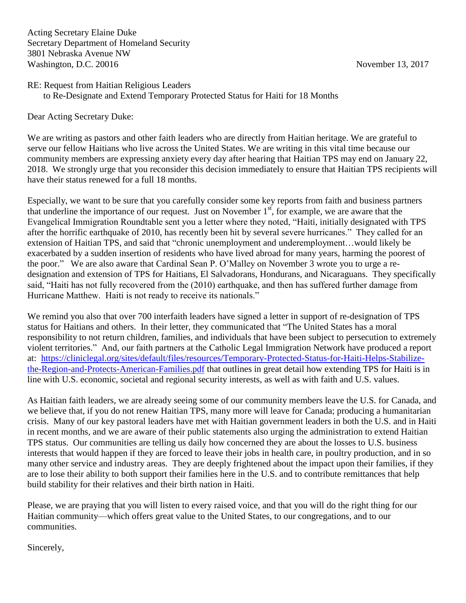## RE: Request from Haitian Religious Leaders to Re-Designate and Extend Temporary Protected Status for Haiti for 18 Months

Dear Acting Secretary Duke:

We are writing as pastors and other faith leaders who are directly from Haitian heritage. We are grateful to serve our fellow Haitians who live across the United States. We are writing in this vital time because our community members are expressing anxiety every day after hearing that Haitian TPS may end on January 22, 2018. We strongly urge that you reconsider this decision immediately to ensure that Haitian TPS recipients will have their status renewed for a full 18 months.

Especially, we want to be sure that you carefully consider some key reports from faith and business partners that underline the importance of our request. Just on November  $1<sup>st</sup>$ , for example, we are aware that the Evangelical Immigration Roundtable sent you a letter where they noted, "Haiti, initially designated with TPS after the horrific earthquake of 2010, has recently been hit by several severe hurricanes." They called for an extension of Haitian TPS, and said that "chronic unemployment and underemployment…would likely be exacerbated by a sudden insertion of residents who have lived abroad for many years, harming the poorest of the poor." We are also aware that Cardinal Sean P. O'Malley on November 3 wrote you to urge a redesignation and extension of TPS for Haitians, El Salvadorans, Hondurans, and Nicaraguans. They specifically said, "Haiti has not fully recovered from the (2010) earthquake, and then has suffered further damage from Hurricane Matthew. Haiti is not ready to receive its nationals."

We remind you also that over 700 interfaith leaders have signed a letter in support of re-designation of TPS status for Haitians and others. In their letter, they communicated that "The United States has a moral responsibility to not return children, families, and individuals that have been subject to persecution to extremely violent territories." And, our faith partners at the Catholic Legal Immigration Network have produced a report at: [https://cliniclegal.org/sites/default/files/resources/Temporary-Protected-Status-for-Haiti-Helps-Stabilize](https://cliniclegal.org/sites/default/files/resources/Temporary-Protected-Status-for-Haiti-Helps-Stabilize-the-Region-and-Protects-American-Families.pdf)[the-Region-and-Protects-American-Families.pdf](https://cliniclegal.org/sites/default/files/resources/Temporary-Protected-Status-for-Haiti-Helps-Stabilize-the-Region-and-Protects-American-Families.pdf) that outlines in great detail how extending TPS for Haiti is in line with U.S. economic, societal and regional security interests, as well as with faith and U.S. values.

As Haitian faith leaders, we are already seeing some of our community members leave the U.S. for Canada, and we believe that, if you do not renew Haitian TPS, many more will leave for Canada; producing a humanitarian crisis. Many of our key pastoral leaders have met with Haitian government leaders in both the U.S. and in Haiti in recent months, and we are aware of their public statements also urging the administration to extend Haitian TPS status. Our communities are telling us daily how concerned they are about the losses to U.S. business interests that would happen if they are forced to leave their jobs in health care, in poultry production, and in so many other service and industry areas. They are deeply frightened about the impact upon their families, if they are to lose their ability to both support their families here in the U.S. and to contribute remittances that help build stability for their relatives and their birth nation in Haiti.

Please, we are praying that you will listen to every raised voice, and that you will do the right thing for our Haitian community—which offers great value to the United States, to our congregations, and to our communities.

Sincerely,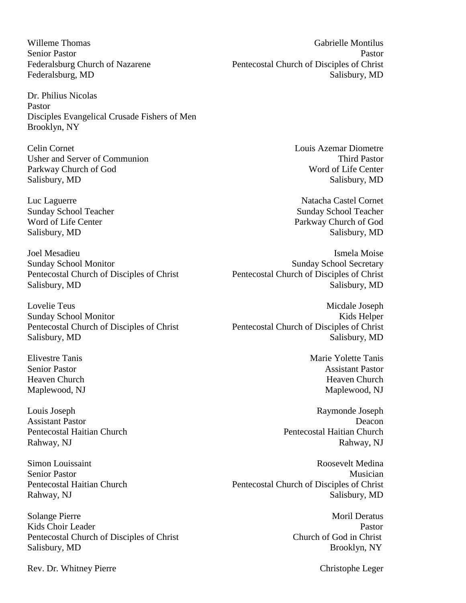Willeme Thomas Gabrielle Montilus

Dr. Philius Nicolas Pastor Disciples Evangelical Crusade Fishers of Men Brooklyn, NY

Celin Cornet Louis Azemar Diometre Usher and Server of Communion Third Pastor Third Pastor Parkway Church of God Word of Life Center Salisbury, MD Salisbury, MD

Joel Mesadieu and a structure of the structure of the structure of the Ismela Moise

Louis Joseph Raymonde Joseph

Solange Pierre Moril Deratus and the Moril Deratus and the Moril Deratus and Moril Deratus and Moril Deratus and Moril Deratus and Moril Deratus and Moril Deratus and Moril Deratus and Moril Deratus and Moril Deratus and M Kids Choir Leader **Pastor** Pastor Pentecostal Church of Disciples of Christ Church of God in Christ Salisbury, MD Brooklyn, NY

Senior Pastor Pastor Federalsburg Church of Nazarene Pentecostal Church of Disciples of Christ Federalsburg, MD Salisbury, MD

Luc Laguerre Natacha Castel Cornet Sunday School Teacher Sunday School Teacher Sunday School Teacher Sunday School Teacher Word of Life Center Parkway Church of God Salisbury, MD Salisbury, MD Salisbury, MD Salisbury, MD Salisbury, MD Salisbury, MD Salisbury, MD

Sunday School Monitor Sunday School Secretary Pentecostal Church of Disciples of Christ Pentecostal Church of Disciples of Christ Salisbury, MD Salisbury, MD

Lovelie Teus Micdale Joseph Sunday School Monitor **Kids** Helper Pentecostal Church of Disciples of Christ Pentecostal Church of Disciples of Christ Salisbury, MD Salisbury, MD Salisbury, MD Salisbury, MD Salisbury, MD Salisbury, MD Salisbury, MD

Elivestre Tanis Marie Yolette Tanis Senior Pastor **Assistant Pastor** Assistant Pastor Heaven Church **Heaven** Church Heaven Church **Heaven** Church **Heaven** Church **Heaven** Church **Heaven** Church **Heaven** Church **Heaven** Church **Heaven** Church **Heaven** Church **Heaven** Church **Heaven** Church **Heaven** Church **H** Maplewood, NJ Maplewood, NJ

Assistant Pastor Deacon Pentecostal Haitian Church Pentecostal Haitian Church Rahway, NJ Rahway, NJ

Simon Louissaint Roosevelt Medina Senior Pastor Musician and Senior Pastor Musician and Senior Pastor Musician and Musician and Musician and Musician and Musician and Musician and Musician and Musician and Musician and Musician and Musician and Musician an Pentecostal Haitian Church Pentecostal Church of Disciples of Christ Rahway, NJ Salisbury, MD

Rev. Dr. Whitney Pierre Christophe Leger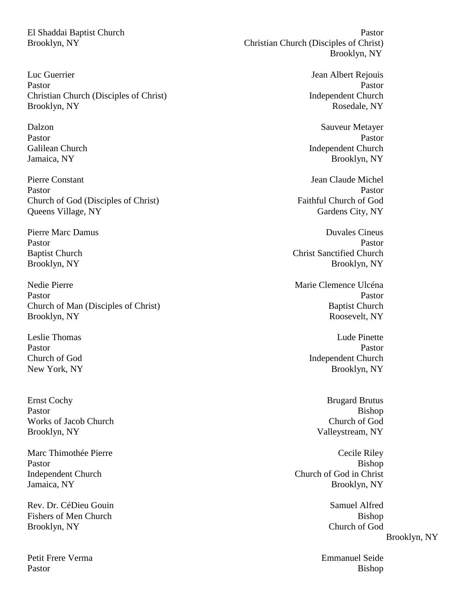Luc Guerrier **International Community** Sean Albert Rejouis Pastor Pastor Pastor Pastor Pastor Pastor Pastor Pastor Pastor Pastor Pastor Pastor Pastor Pastor Pastor Pastor Pastor Pastor Pastor Pastor Pastor Pastor Pastor Pastor Pastor Pastor Pastor Pastor Pastor Pastor Pastor Pasto Christian Church (Disciples of Christ) Independent Church Brooklyn, NY Rosedale, NY

Pierre Constant Jean Claude Michel Pastor Pastor Pastor Pastor Pastor Pastor Pastor Pastor Pastor Pastor Pastor Pastor Pastor Pastor Pastor Pastor Pastor Pastor Pastor Pastor Pastor Pastor Pastor Pastor Pastor Pastor Pastor Pastor Pastor Pastor Pastor Pasto Church of God (Disciples of Christ) Faithful Church of God Queens Village, NY Gardens City, NY

Nedie Pierre **Marie Clemence Ulcéna** (Nedie Pierre Marie Clemence Ulcéna) Pastor Pastor Pastor Pastor Pastor Pastor Pastor Pastor Pastor Pastor Pastor Pastor Pastor Pastor Pastor Pastor Pastor Pastor Pastor Pastor Pastor Pastor Pastor Pastor Pastor Pastor Pastor Pastor Pastor Pastor Pastor Pasto Church of Man (Disciples of Christ) Baptist Church Brooklyn, NY Roosevelt, NY

Ernst Cochy Brugard Brutus Brugard Brutus Brugard Brutus Brugard Brutus Brugard Brutus Brugard Brutus Brugard Brutus Brugard Brutus Brugard Brutus Brugard Brutus Brugard Brutus Brugard Brutus Brugard Brutus Brugard Brutus Pastor Bishop Works of Jacob Church Church Church Church Church of God Church of God Church of God Church of God Church of God Church of God Church of God Church of God Church of God Church of God Church of God Church of God Church of G Brooklyn, NY Valleystream, NY

Marc Thimothée Pierre Cecile Riley

Rev. Dr. CéDieu Gouin Samuel Alfred Fishers of Men Church Bishop Bishop Bishop Bishop Bishop Bishop Bishop Bishop Bishop Bishop Bishop Bishop Bishop Bishop Bishop Bishop Bishop Bishop Bishop Bishop Bishop Bishop Bishop Bishop Bishop Bishop Bishop Bishop Bish Brooklyn, NY Church of God

Petit Frere Verma Emmanuel Seide

El Shaddai Baptist Church Pastor Brooklyn, NY Christian Church (Disciples of Christ) Brooklyn, NY

Dalzon Sauveur Metayer Pastor Pastor Pastor Pastor Pastor Pastor Pastor Pastor Pastor Pastor Pastor Pastor Pastor Pastor Pastor Pastor Pastor Pastor Pastor Pastor Pastor Pastor Pastor Pastor Pastor Pastor Pastor Pastor Pastor Pastor Pastor Pasto Galilean Church Independent Church Independent Church Jamaica, NY Brooklyn, NY

Pierre Marc Damus Duvales Cineus Duvales Cineus Pastor Pastor Pastor Pastor Pastor Pastor Pastor Pastor Pastor Pastor Pastor Pastor Pastor Pastor Pastor Pastor Pastor Pastor Pastor Pastor Pastor Pastor Pastor Pastor Pastor Pastor Pastor Pastor Pastor Pastor Pastor Pasto Baptist Church Christ Sanctified Church Christ Sanctified Church Brooklyn, NY Brooklyn, NY

Leslie Thomas Lude Pinette Pastor Pastor Pastor Pastor Pastor Pastor Pastor Pastor Pastor Pastor Pastor Pastor Pastor Pastor Pastor Pastor Pastor Pastor Pastor Pastor Pastor Pastor Pastor Pastor Pastor Pastor Pastor Pastor Pastor Pastor Pastor Pasto Church of God Independent Church New York, NY Brooklyn, NY

Pastor Bishop Independent Church Church of God in Christ Jamaica, NY Brooklyn, NY

Brooklyn, NY

Pastor Bishop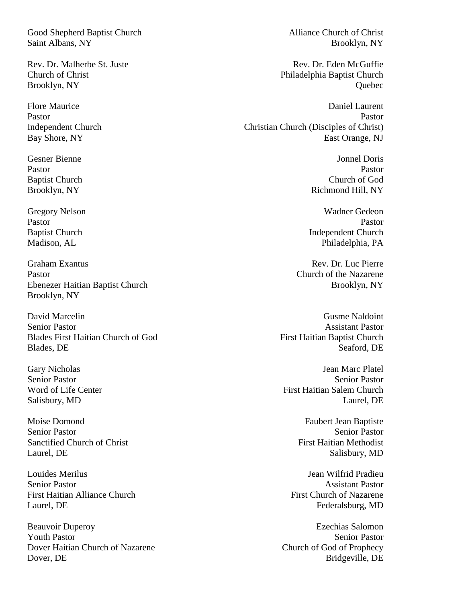Good Shepherd Baptist Church Alliance Church Alliance Church of Christ Saint Albans, NY Brooklyn, NY

Graham Exantus Rev. Dr. Luc Pierre Pastor Church of the Nazarene Ebenezer Haitian Baptist Church Brooklyn, NY Brooklyn, NY

David Marcelin Gusme Naldoint Senior Pastor Assistant Pastor Blades First Haitian Church of God First Haitian Baptist Church Blades, DE Seaford, DE

Moise Domond Faubert Jean Baptiste Senior Pastor Senior Pastor Sanctified Church of Christ First Haitian Methodist Laurel, DE Salisbury, MD

Louides Merilus Jean Wilfrid Pradieu Senior Pastor **Assistant Pastor** Assistant Pastor First Haitian Alliance Church **First Church** First Church of Nazarene Laurel, DE Federalsburg, MD

Beauvoir Duperoy Ezechias Salomon **Youth Pastor** Senior Pastor Dover Haitian Church of Nazarene Church of God of Prophecy Dover, DE Bridgeville, DE

Rev. Dr. Malherbe St. Juste New York Blog Rev. Dr. Eden McGuffie Church of Christ Philadelphia Baptist Church Brooklyn, NY Quebec

Flore Maurice **Daniel Laurent** Daniel Laurent **Daniel Laurent** Pastor Pastor Pastor Pastor Pastor Pastor Pastor Pastor Pastor Pastor Pastor Pastor Pastor Pastor Pastor Pastor Pastor Pastor Pastor Pastor Pastor Pastor Pastor Pastor Pastor Pastor Pastor Pastor Pastor Pastor Pastor Pasto Independent Church Christian Church (Disciples of Christ) Bay Shore, NY East Orange, NJ

Gesner Bienne Volksteine Gesner Bienne Jonnel Doris (Gesner Bienne Jonnel Doris Volksteine Jonnel Doris Volkst Pastor Pastor Pastor Pastor Pastor Pastor Pastor Pastor Pastor Pastor Pastor Pastor Pastor Pastor Pastor Pastor Pastor Pastor Pastor Pastor Pastor Pastor Pastor Pastor Pastor Pastor Pastor Pastor Pastor Pastor Pastor Pasto Baptist Church Church Church Church of God Brooklyn, NY Richmond Hill, NY

Gregory Nelson Wadner Gedeon Pastor Pastor Pastor Pastor Pastor Pastor Pastor Pastor Pastor Pastor Pastor Pastor Pastor Pastor Pastor Pastor Pastor Pastor Pastor Pastor Pastor Pastor Pastor Pastor Pastor Pastor Pastor Pastor Pastor Pastor Pastor Pasto Baptist Church Independent Church Independent Church Madison, AL Philadelphia, PA

Gary Nicholas Jean Marc Platel Senior Pastor Senior Pastor Word of Life Center **First Haitian Salem Church** Salisbury, MD Laurel, DE